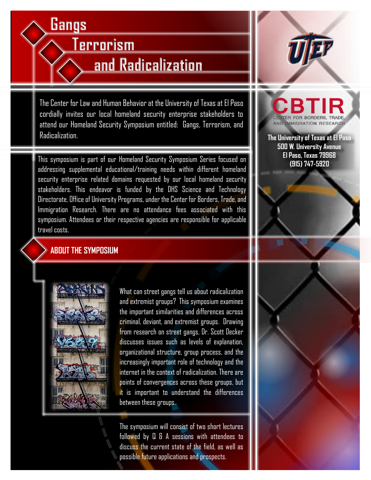# **Gangs**

**Terrorism**

# **and Radicalization**

The Center for Law and Human Behavior at the University of Texas at El Paso cordially invites our local homeland security enterprise stakeholders to attend our Homeland Security Symposium entitled: Gangs, Terrorism, and Radicalization.

This symposium is part of our Homeland Security Symposium Series focused on addressing supplemental educational/training needs within different homeland security enterprise related domains requested by our local homeland security stakeholders. This endeavor is funded by the DHS Science and Technology Directorate, Office of University Programs, under the Center for Borders, Trade, and Immigration Research. There are no attendance fees associated with this symposium. Attendees or their respective agencies are responsible for applicable travel costs.

#### **ABOUT THE SYMPOSIUM**



internet in the context of radicalization. There are What can street gangs tell us about radicalization and extremist groups? This symposium examines the important similarities and differences across criminal, deviant, and extremist groups. Drawing from research on street gangs, Dr. Scott Decker discusses issues such as levels of explanation, organizational structure, group process, and the increasingly important role of technology and the points of convergences across these groups, but it is important to understand the differences between these groups.

The symposium will consist of two short lectures followed by Q & A sessions with attendees to discuss the current state of the field, as well as possible future applications and prospects.